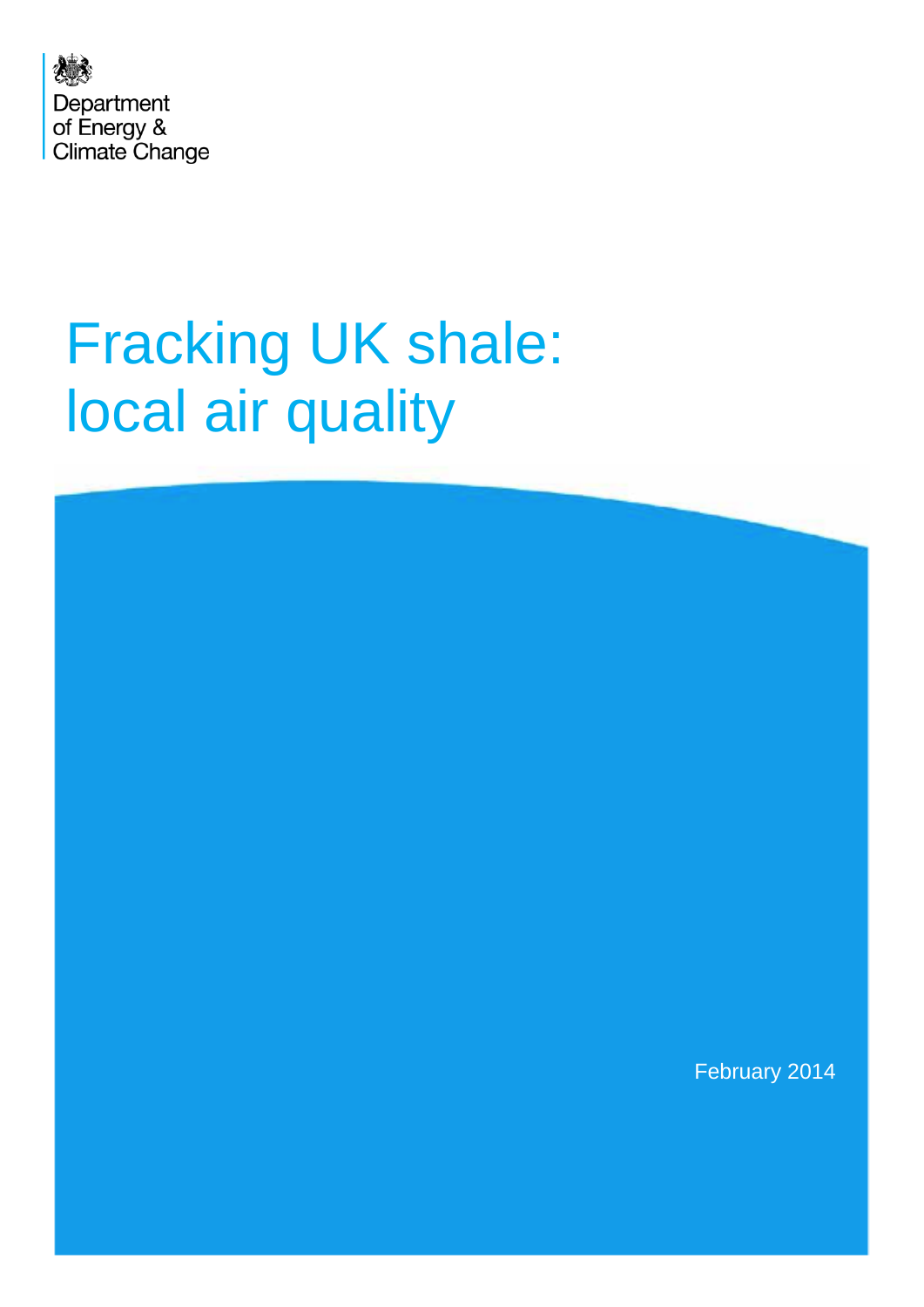

# Fracking UK shale: local air quality

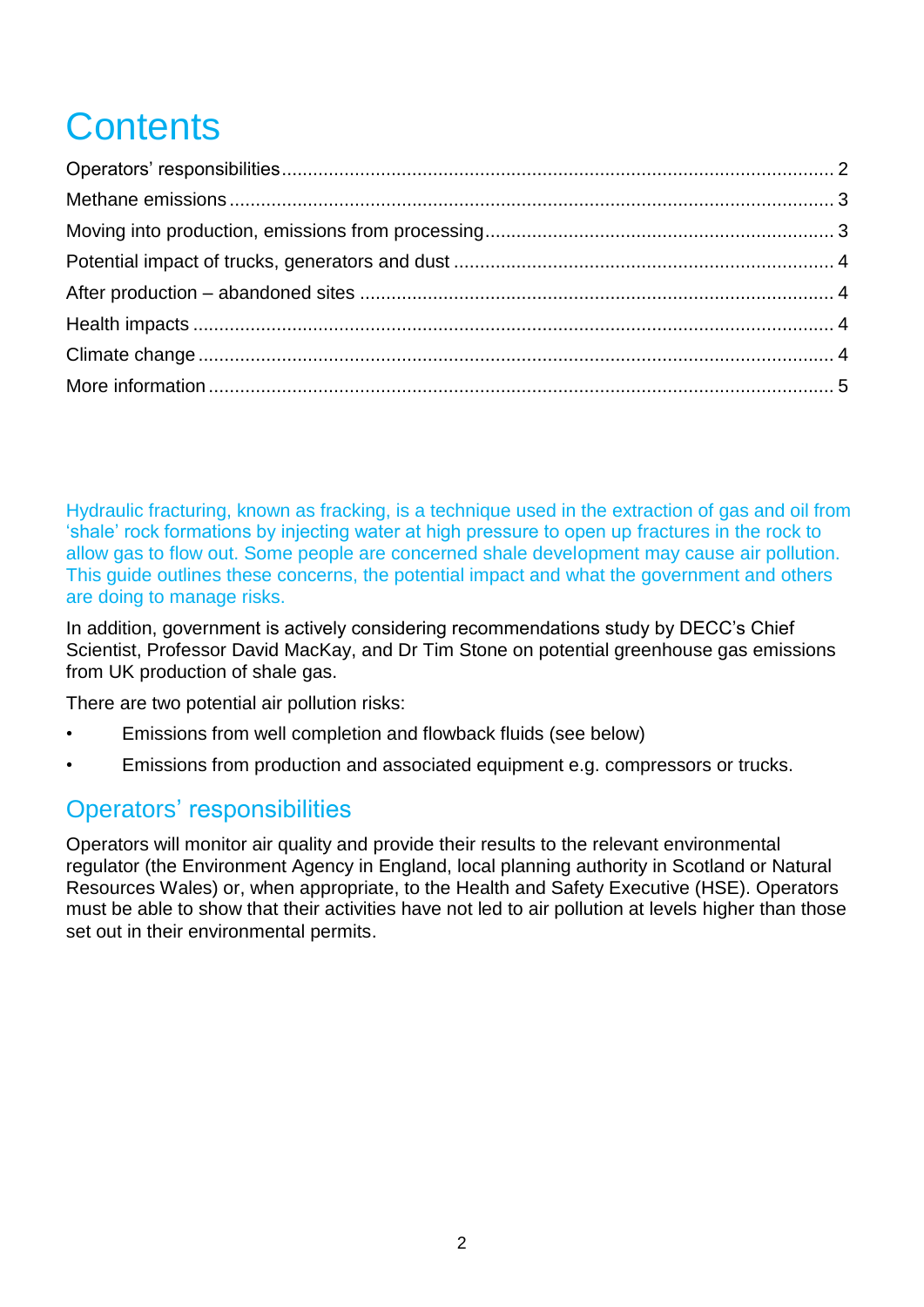# **Contents**

Hydraulic fracturing, known as fracking, is a technique used in the extraction of gas and oil from 'shale' rock formations by injecting water at high pressure to open up fractures in the rock to allow gas to flow out. Some people are concerned shale development may cause air pollution. This guide outlines these concerns, the potential impact and what the government and others are doing to manage risks.

In addition, government is actively considering recommendations study by DECC's Chief Scientist, Professor David MacKay, and Dr Tim Stone on potential greenhouse gas emissions from UK production of shale gas.

There are two potential air pollution risks:

- Emissions from well completion and flowback fluids (see below)
- Emissions from production and associated equipment e.g. compressors or trucks.

#### <span id="page-1-0"></span>Operators' responsibilities

<span id="page-1-1"></span>Operators will monitor air quality and provide their results to the relevant environmental regulator (the Environment Agency in England, local planning authority in Scotland or Natural Resources Wales) or, when appropriate, to the Health and Safety Executive (HSE). Operators must be able to show that their activities have not led to air pollution at levels higher than those set out in their environmental permits.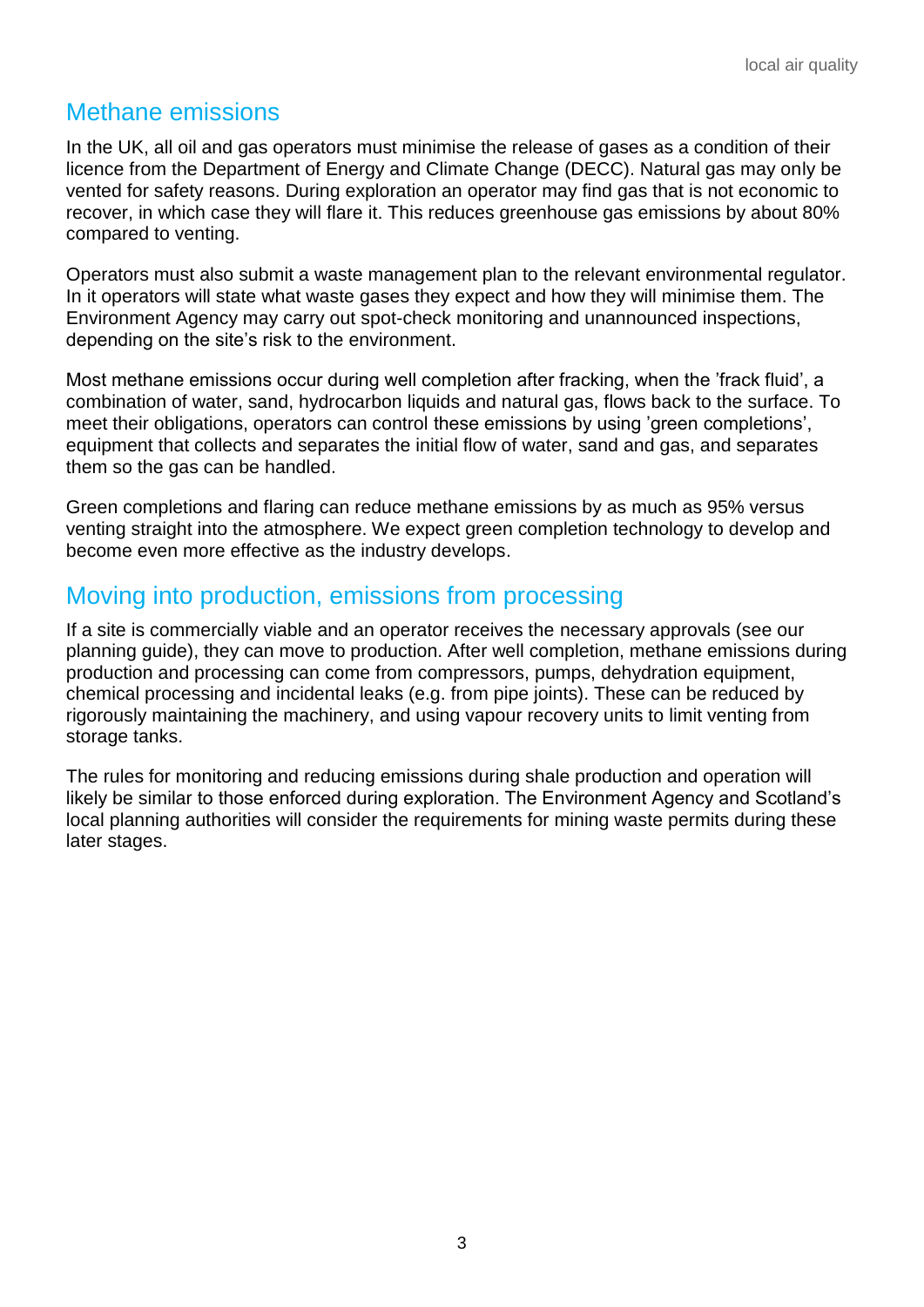# Methane emissions

In the UK, all oil and gas operators must minimise the release of gases as a condition of their licence from the Department of Energy and Climate Change (DECC). Natural gas may only be vented for safety reasons. During exploration an operator may find gas that is not economic to recover, in which case they will flare it. This reduces greenhouse gas emissions by about 80% compared to venting.

Operators must also submit a waste management plan to the relevant environmental regulator. In it operators will state what waste gases they expect and how they will minimise them. The Environment Agency may carry out spot-check monitoring and unannounced inspections, depending on the site's risk to the environment.

Most methane emissions occur during well completion after fracking, when the 'frack fluid', a combination of water, sand, hydrocarbon liquids and natural gas, flows back to the surface. To meet their obligations, operators can control these emissions by using 'green completions', equipment that collects and separates the initial flow of water, sand and gas, and separates them so the gas can be handled.

Green completions and flaring can reduce methane emissions by as much as 95% versus venting straight into the atmosphere. We expect green completion technology to develop and become even more effective as the industry develops.

#### <span id="page-2-0"></span>Moving into production, emissions from processing

If a site is commercially viable and an operator receives the necessary approvals (see our planning guide), they can move to production. After well completion, methane emissions during production and processing can come from compressors, pumps, dehydration equipment, chemical processing and incidental leaks (e.g. from pipe joints). These can be reduced by rigorously maintaining the machinery, and using vapour recovery units to limit venting from storage tanks.

<span id="page-2-1"></span>The rules for monitoring and reducing emissions during shale production and operation will likely be similar to those enforced during exploration. The Environment Agency and Scotland's local planning authorities will consider the requirements for mining waste permits during these later stages.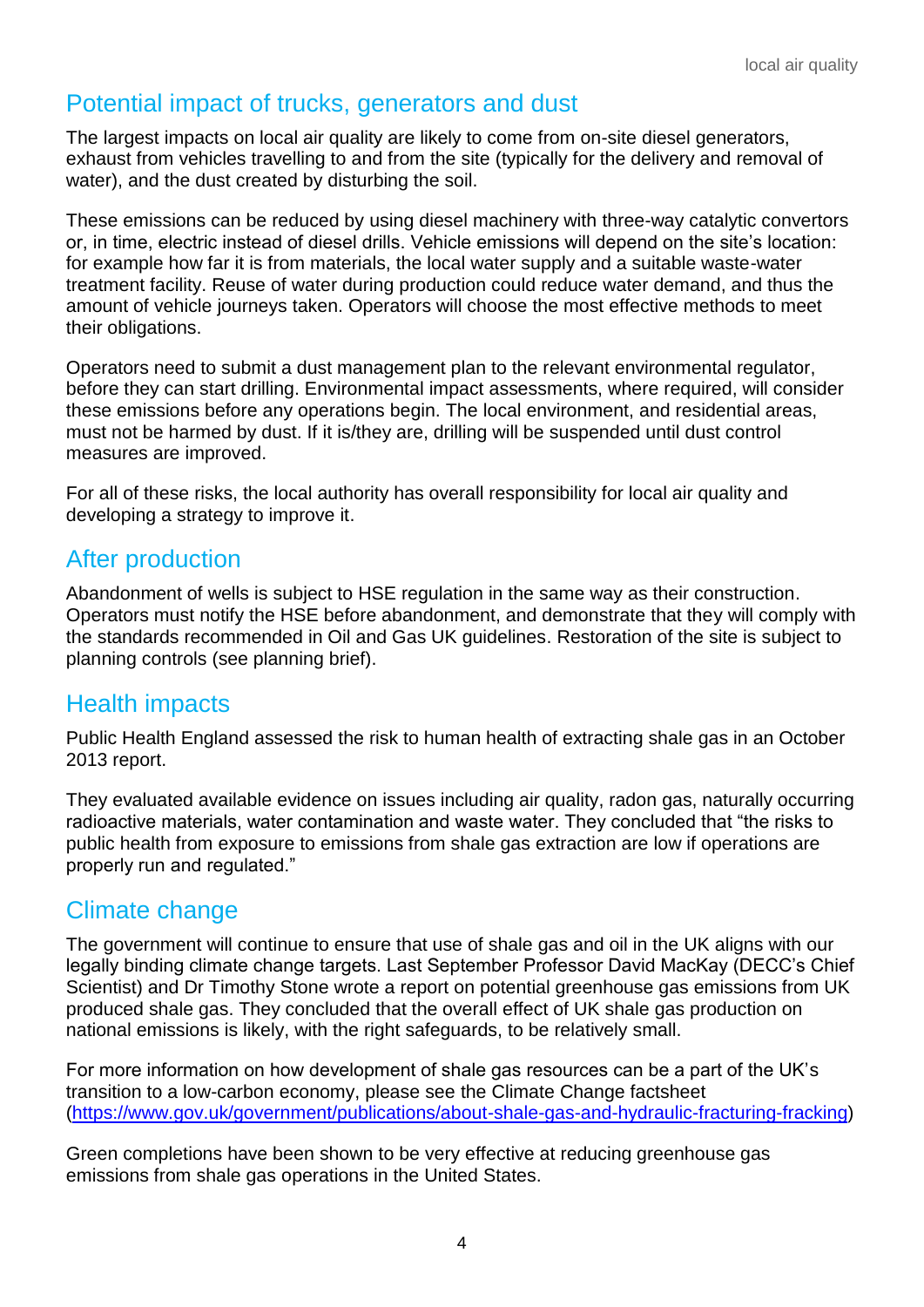## Potential impact of trucks, generators and dust

The largest impacts on local air quality are likely to come from on-site diesel generators, exhaust from vehicles travelling to and from the site (typically for the delivery and removal of water), and the dust created by disturbing the soil.

These emissions can be reduced by using diesel machinery with three-way catalytic convertors or, in time, electric instead of diesel drills. Vehicle emissions will depend on the site's location: for example how far it is from materials, the local water supply and a suitable waste-water treatment facility. Reuse of water during production could reduce water demand, and thus the amount of vehicle journeys taken. Operators will choose the most effective methods to meet their obligations.

Operators need to submit a dust management plan to the relevant environmental regulator, before they can start drilling. Environmental impact assessments, where required, will consider these emissions before any operations begin. The local environment, and residential areas, must not be harmed by dust. If it is/they are, drilling will be suspended until dust control measures are improved.

For all of these risks, the local authority has overall responsibility for local air quality and developing a strategy to improve it.

#### <span id="page-3-0"></span>After production

Abandonment of wells is subject to HSE regulation in the same way as their construction. Operators must notify the HSE before abandonment, and demonstrate that they will comply with the standards recommended in Oil and Gas UK guidelines. Restoration of the site is subject to planning controls (see planning brief).

#### <span id="page-3-1"></span>Health impacts

Public Health England assessed the risk to human health of extracting shale gas in an October 2013 report.

They evaluated available evidence on issues including air quality, radon gas, naturally occurring radioactive materials, water contamination and waste water. They concluded that "the risks to public health from exposure to emissions from shale gas extraction are low if operations are properly run and regulated."

# <span id="page-3-2"></span>Climate change

The government will continue to ensure that use of shale gas and oil in the UK aligns with our legally binding climate change targets. Last September Professor David MacKay (DECC's Chief Scientist) and Dr Timothy Stone wrote a report on potential greenhouse gas emissions from UK produced shale gas. They concluded that the overall effect of UK shale gas production on national emissions is likely, with the right safeguards, to be relatively small.

For more information on how development of shale gas resources can be a part of the UK's transition to a low-carbon economy, please see the Climate Change factsheet [\(https://www.gov.uk/government/publications/about-shale-gas-and-hydraulic-fracturing-fracking\)](https://www.gov.uk/government/publications/about-shale-gas-and-hydraulic-fracturing-fracking)

Green completions have been shown to be very effective at reducing greenhouse gas emissions from shale gas operations in the United States.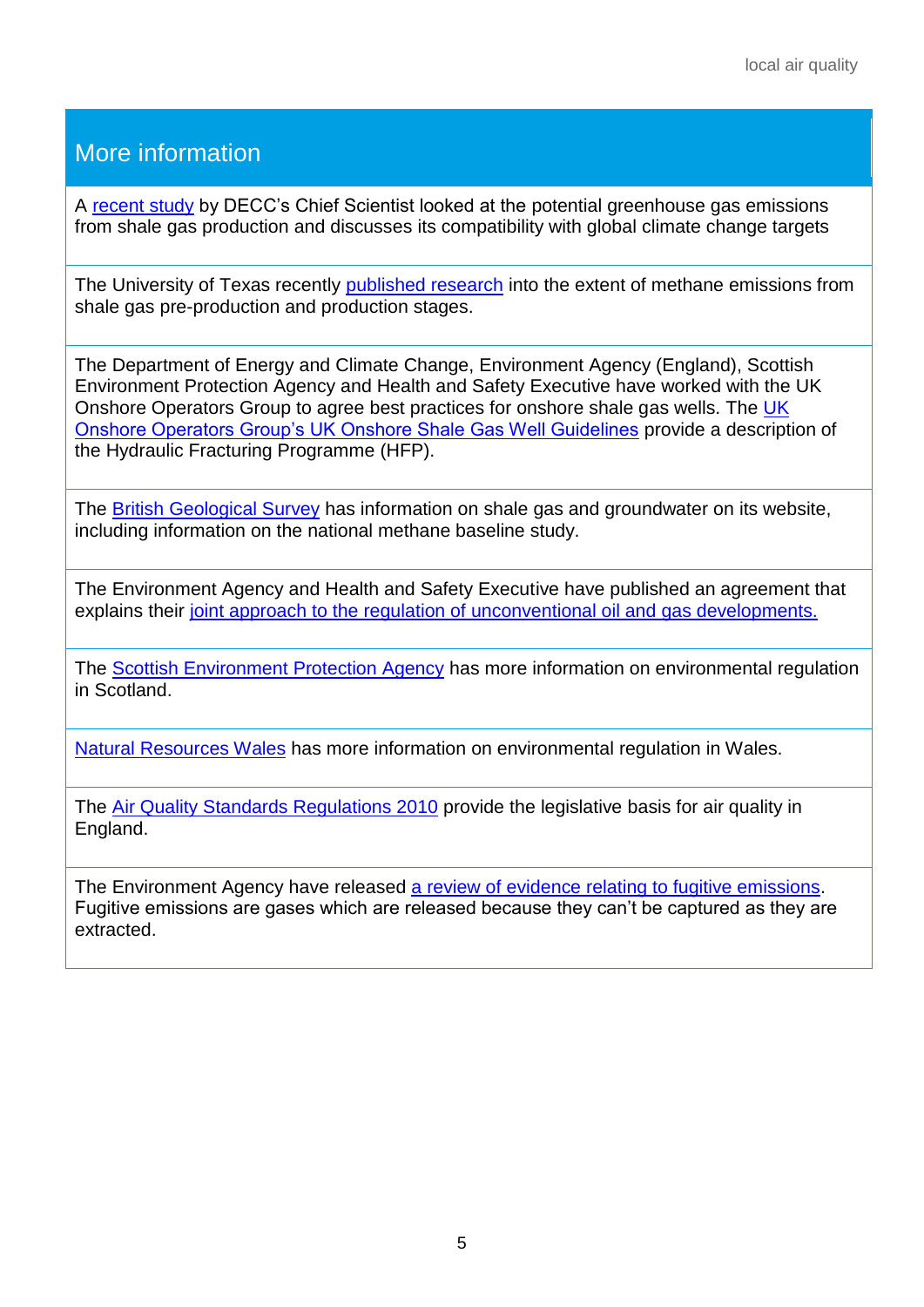# <span id="page-4-0"></span>More information

A [recent study](https://www.gov.uk/government/publications/potential-greenhouse-gas-emissions-associated-with-shale-gas-production-and-use) by DECC's Chief Scientist looked at the potential greenhouse gas emissions from shale gas production and discusses its compatibility with global climate change targets

The University of Texas recently [published research](http://www.pnas.org/content/early/2013/10/09/1304880110) into the extent of methane emissions from shale gas pre-production and production stages.

The Department of Energy and Climate Change, Environment Agency (England), Scottish Environment Protection Agency and Health and Safety Executive have worked with the UK Onshore Operators Group to agree best practices for onshore shale gas wells. The [UK](http://www.ukoog.org.uk/elements/pdfs/ShaleGasWellGuidelines.pdf)  [Onshore Operators Group's UK Onshore Shale Gas Well Guidelines](http://www.ukoog.org.uk/elements/pdfs/ShaleGasWellGuidelines.pdf) provide a description of the Hydraulic Fracturing Programme (HFP).

The [British Geological Survey](http://www.bgs.ac.uk/research/groundwater/shaleGas/home.html) has information on shale gas and groundwater on its website, including information on the national methane baseline study.

The Environment Agency and Health and Safety Executive have published an agreement that explains their [joint approach to the regulation of unconventional oil and gas developments.](http://www.environment-agency.gov.uk/business/topics/133885.aspx)

The [Scottish Environment Protection Agency](http://www.sepa.org.uk/customer_information/energy_industry/unconventional_gas.aspx) has more information on environmental regulation in Scotland.

[Natural Resources Wales](http://naturalresourceswales.gov.uk/?lang=en) has more information on environmental regulation in Wales.

The [Air Quality Standards Regulations 2010](http://www.legislation.gov.uk/uksi/2010/1001/contents/made) provide the legislative basis for air quality in England.

The Environment Agency have released [a review of evidence relating to fugitive emissions.](http://publications.environment-agency.gov.uk/PDF/SCHO0812BUWK-E-E.pdf) Fugitive emissions are gases which are released because they can't be captured as they are extracted.